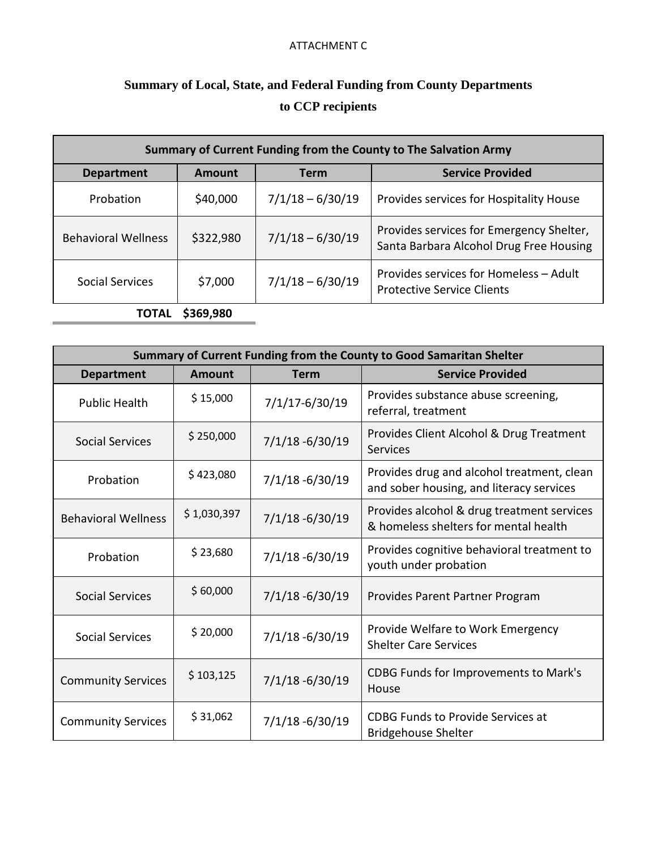## ATTACHMENT C

## **Summary of Local, State, and Federal Funding from County Departments to CCP recipients**

| Summary of Current Funding from the County to The Salvation Army |           |                    |                                                                                     |  |  |
|------------------------------------------------------------------|-----------|--------------------|-------------------------------------------------------------------------------------|--|--|
| <b>Department</b>                                                | Amount    | Term               | <b>Service Provided</b>                                                             |  |  |
| Probation                                                        | \$40,000  | $7/1/18 - 6/30/19$ | Provides services for Hospitality House                                             |  |  |
| <b>Behavioral Wellness</b>                                       | \$322,980 | $7/1/18 - 6/30/19$ | Provides services for Emergency Shelter,<br>Santa Barbara Alcohol Drug Free Housing |  |  |
| Social Services                                                  | \$7,000   | $7/1/18 - 6/30/19$ | Provides services for Homeless - Adult<br><b>Protective Service Clients</b>         |  |  |
| TOTAL                                                            | \$369,980 |                    |                                                                                     |  |  |

| Summary of Current Funding from the County to Good Samaritan Shelter |               |                    |                                                                                        |  |  |  |
|----------------------------------------------------------------------|---------------|--------------------|----------------------------------------------------------------------------------------|--|--|--|
| <b>Department</b>                                                    | <b>Amount</b> | <b>Term</b>        | <b>Service Provided</b>                                                                |  |  |  |
| <b>Public Health</b>                                                 | \$15,000      | 7/1/17-6/30/19     | Provides substance abuse screening,<br>referral, treatment                             |  |  |  |
| <b>Social Services</b>                                               | \$250,000     | $7/1/18 - 6/30/19$ | Provides Client Alcohol & Drug Treatment<br>Services                                   |  |  |  |
| Probation                                                            | \$423,080     | $7/1/18 - 6/30/19$ | Provides drug and alcohol treatment, clean<br>and sober housing, and literacy services |  |  |  |
| <b>Behavioral Wellness</b>                                           | \$1,030,397   | $7/1/18 - 6/30/19$ | Provides alcohol & drug treatment services<br>& homeless shelters for mental health    |  |  |  |
| Probation                                                            | \$23,680      | $7/1/18 - 6/30/19$ | Provides cognitive behavioral treatment to<br>youth under probation                    |  |  |  |
| <b>Social Services</b>                                               | \$60,000      | $7/1/18 - 6/30/19$ | Provides Parent Partner Program                                                        |  |  |  |
| <b>Social Services</b>                                               | \$20,000      | $7/1/18 - 6/30/19$ | Provide Welfare to Work Emergency<br><b>Shelter Care Services</b>                      |  |  |  |
| <b>Community Services</b>                                            | \$103,125     | $7/1/18 - 6/30/19$ | CDBG Funds for Improvements to Mark's<br>House                                         |  |  |  |
| <b>Community Services</b>                                            | \$31,062      | $7/1/18 - 6/30/19$ | <b>CDBG Funds to Provide Services at</b><br><b>Bridgehouse Shelter</b>                 |  |  |  |